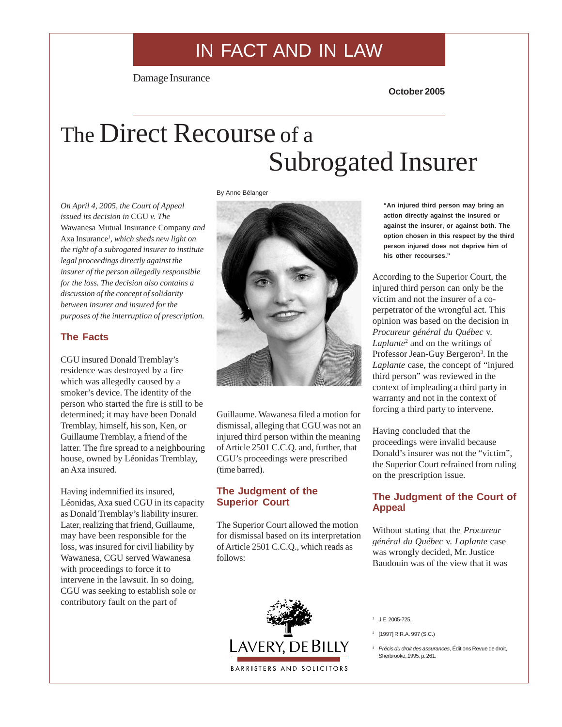## IN FACT AND IN LAW

Damage Insurance

**October 2005**

# The Direct Recourse of a Subrogated Insurer

*On April 4, 2005, the Court of Appeal issued its decision in* CGU *v. The* Wawanesa Mutual Insurance Company *and* Axa Insurance*<sup>1</sup> , which sheds new light on the right of a subrogated insurer to institute legal proceedings directly against the insurer of the person allegedly responsible for the loss. The decision also contains a discussion of the concept of solidarity between insurer and insured for the purposes of the interruption of prescription.*

## **The Facts**

CGU insured Donald Tremblay's residence was destroyed by a fire which was allegedly caused by a smoker's device. The identity of the person who started the fire is still to be determined; it may have been Donald Tremblay, himself, his son, Ken, or Guillaume Tremblay, a friend of the latter. The fire spread to a neighbouring house, owned by Léonidas Tremblay, an Axa insured.

Having indemnified its insured, Léonidas, Axa sued CGU in its capacity as Donald Tremblay's liability insurer. Later, realizing that friend, Guillaume, may have been responsible for the loss, was insured for civil liability by Wawanesa, CGU served Wawanesa with proceedings to force it to intervene in the lawsuit. In so doing, CGU was seeking to establish sole or contributory fault on the part of





Guillaume. Wawanesa filed a motion for dismissal, alleging that CGU was not an injured third person within the meaning of Article 2501 C.C.Q. and, further, that CGU's proceedings were prescribed (time barred).

## **The Judgment of the Superior Court**

The Superior Court allowed the motion for dismissal based on its interpretation of Article 2501 C.C.Q., which reads as follows:

**"An injured third person may bring an action directly against the insured or against the insurer, or against both. The option chosen in this respect by the third person injured does not deprive him of his other recourses."**

According to the Superior Court, the injured third person can only be the victim and not the insurer of a coperpetrator of the wrongful act. This opinion was based on the decision in *Procureur général du Québec* v. Laplante<sup>2</sup> and on the writings of Professor Jean-Guy Bergeron<sup>3</sup>. In the *Laplante* case, the concept of "injured third person" was reviewed in the context of impleading a third party in warranty and not in the context of forcing a third party to intervene.

Having concluded that the proceedings were invalid because Donald's insurer was not the "victim", the Superior Court refrained from ruling on the prescription issue.

## **The Judgment of the Court of Appeal**

Without stating that the *Procureur général du Québec* v. *Laplante* case was wrongly decided, Mr. Justice Baudouin was of the view that it was



- <sup>1</sup> J.E. 2005-725.
- <sup>2</sup> [1997] R.R.A. 997 (S.C.)

<sup>3</sup> *Précis du droit des assurances*, Éditions Revue de droit, Sherbrooke, 1995, p. 261.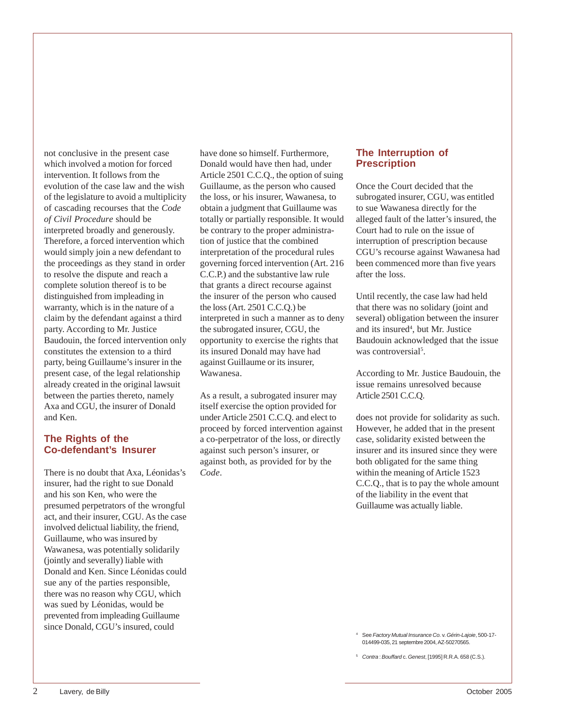not conclusive in the present case which involved a motion for forced intervention. It follows from the evolution of the case law and the wish of the legislature to avoid a multiplicity of cascading recourses that the *Code of Civil Procedure* should be interpreted broadly and generously. Therefore, a forced intervention which would simply join a new defendant to the proceedings as they stand in order to resolve the dispute and reach a complete solution thereof is to be distinguished from impleading in warranty, which is in the nature of a claim by the defendant against a third party. According to Mr. Justice Baudouin, the forced intervention only constitutes the extension to a third party, being Guillaume's insurer in the present case, of the legal relationship already created in the original lawsuit between the parties thereto, namely Axa and CGU, the insurer of Donald and Ken.

#### **The Rights of the Co-defendant's Insurer**

There is no doubt that Axa, Léonidas's insurer, had the right to sue Donald and his son Ken, who were the presumed perpetrators of the wrongful act, and their insurer, CGU. As the case involved delictual liability, the friend, Guillaume, who was insured by Wawanesa, was potentially solidarily (jointly and severally) liable with Donald and Ken. Since Léonidas could sue any of the parties responsible, there was no reason why CGU, which was sued by Léonidas, would be prevented from impleading Guillaume since Donald, CGU's insured, could

have done so himself. Furthermore, Donald would have then had, under Article 2501 C.C.Q., the option of suing Guillaume, as the person who caused the loss, or his insurer, Wawanesa, to obtain a judgment that Guillaume was totally or partially responsible. It would be contrary to the proper administration of justice that the combined interpretation of the procedural rules governing forced intervention (Art. 216 C.C.P.) and the substantive law rule that grants a direct recourse against the insurer of the person who caused the loss (Art. 2501 C.C.Q.) be interpreted in such a manner as to deny the subrogated insurer, CGU, the opportunity to exercise the rights that its insured Donald may have had against Guillaume or its insurer, Wawanesa.

As a result, a subrogated insurer may itself exercise the option provided for under Article 2501 C.C.Q. and elect to proceed by forced intervention against a co-perpetrator of the loss, or directly against such person's insurer, or against both, as provided for by the *Code*.

#### **The Interruption of Prescription**

Once the Court decided that the subrogated insurer, CGU, was entitled to sue Wawanesa directly for the alleged fault of the latter's insured, the Court had to rule on the issue of interruption of prescription because CGU's recourse against Wawanesa had been commenced more than five years after the loss.

Until recently, the case law had held that there was no solidary (joint and several) obligation between the insurer and its insured<sup>4</sup>, but Mr. Justice Baudouin acknowledged that the issue was controversial<sup>5</sup>.

According to Mr. Justice Baudouin, the issue remains unresolved because Article 2501 C.C.Q.

does not provide for solidarity as such. However, he added that in the present case, solidarity existed between the insurer and its insured since they were both obligated for the same thing within the meaning of Article 1523 C.C.Q., that is to pay the whole amount of the liability in the event that Guillaume was actually liable.

<sup>4</sup> See *Factory Mutual Insurance Co.* v. *Gérin-Lajoie*, 500-17- 014499-035, 21 septembre 2004, AZ-50270565.

<sup>5</sup> *Contra* : *Bouffard* c. *Genest*, [1995] R.R.A. 658 (C.S.).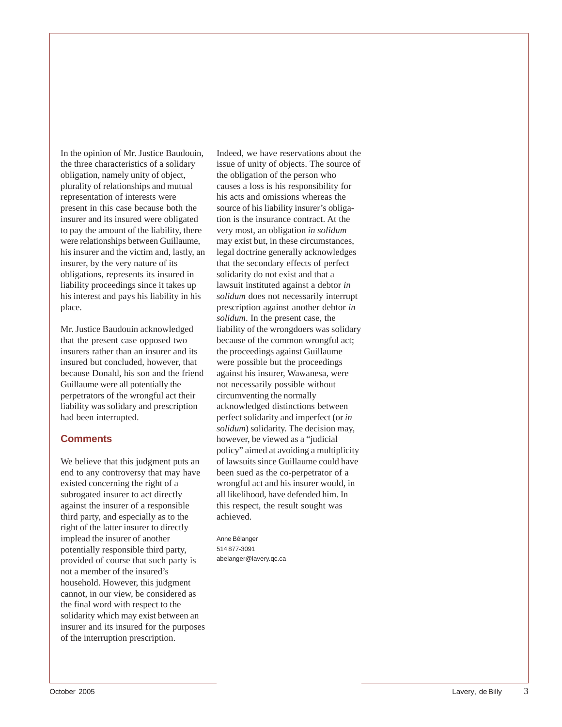In the opinion of Mr. Justice Baudouin, the three characteristics of a solidary obligation, namely unity of object, plurality of relationships and mutual representation of interests were present in this case because both the insurer and its insured were obligated to pay the amount of the liability, there were relationships between Guillaume, his insurer and the victim and, lastly, an insurer, by the very nature of its obligations, represents its insured in liability proceedings since it takes up his interest and pays his liability in his place.

Mr. Justice Baudouin acknowledged that the present case opposed two insurers rather than an insurer and its insured but concluded, however, that because Donald, his son and the friend Guillaume were all potentially the perpetrators of the wrongful act their liability was solidary and prescription had been interrupted.

## **Comments**

We believe that this judgment puts an end to any controversy that may have existed concerning the right of a subrogated insurer to act directly against the insurer of a responsible third party, and especially as to the right of the latter insurer to directly implead the insurer of another potentially responsible third party, provided of course that such party is not a member of the insured's household. However, this judgment cannot, in our view, be considered as the final word with respect to the solidarity which may exist between an insurer and its insured for the purposes of the interruption prescription.

Indeed, we have reservations about the issue of unity of objects. The source of the obligation of the person who causes a loss is his responsibility for his acts and omissions whereas the source of his liability insurer's obligation is the insurance contract. At the very most, an obligation *in solidum* may exist but, in these circumstances, legal doctrine generally acknowledges that the secondary effects of perfect solidarity do not exist and that a lawsuit instituted against a debtor *in solidum* does not necessarily interrupt prescription against another debtor *in solidum*. In the present case, the liability of the wrongdoers was solidary because of the common wrongful act; the proceedings against Guillaume were possible but the proceedings against his insurer, Wawanesa, were not necessarily possible without circumventing the normally acknowledged distinctions between perfect solidarity and imperfect (or *in solidum*) solidarity. The decision may, however, be viewed as a "judicial policy" aimed at avoiding a multiplicity of lawsuits since Guillaume could have been sued as the co-perpetrator of a wrongful act and his insurer would, in all likelihood, have defended him. In this respect, the result sought was achieved.

Anne Bélanger 514 877-3091 abelanger@lavery.qc.ca